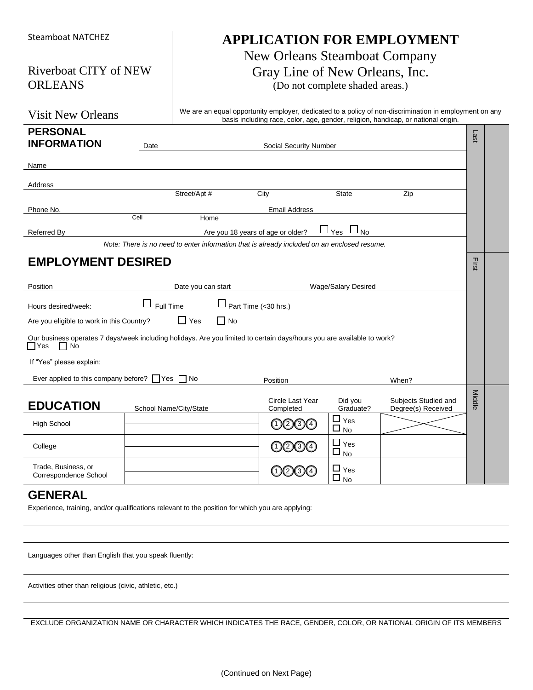| <b>Steamboat NATCHEZ</b>                                                                                                                     |                                                                                                                             |                    |        |                                                                                             |                                                        | <b>APPLICATION FOR EMPLOYMENT</b>                                                                                                                                                           |        |  |
|----------------------------------------------------------------------------------------------------------------------------------------------|-----------------------------------------------------------------------------------------------------------------------------|--------------------|--------|---------------------------------------------------------------------------------------------|--------------------------------------------------------|---------------------------------------------------------------------------------------------------------------------------------------------------------------------------------------------|--------|--|
| <b>ORLEANS</b>                                                                                                                               | New Orleans Steamboat Company<br>Riverboat CITY of NEW<br>Gray Line of New Orleans, Inc.<br>(Do not complete shaded areas.) |                    |        |                                                                                             |                                                        |                                                                                                                                                                                             |        |  |
| <b>Visit New Orleans</b>                                                                                                                     |                                                                                                                             |                    |        |                                                                                             |                                                        | We are an equal opportunity employer, dedicated to a policy of non-discrimination in employment on any<br>basis including race, color, age, gender, religion, handicap, or national origin. |        |  |
| <b>PERSONAL</b><br><b>INFORMATION</b>                                                                                                        | Date                                                                                                                        |                    |        | Social Security Number                                                                      |                                                        |                                                                                                                                                                                             | Last   |  |
| Name                                                                                                                                         |                                                                                                                             |                    |        |                                                                                             |                                                        |                                                                                                                                                                                             |        |  |
| Address                                                                                                                                      |                                                                                                                             |                    |        |                                                                                             |                                                        |                                                                                                                                                                                             |        |  |
|                                                                                                                                              |                                                                                                                             | Street/Apt #       |        | City                                                                                        | <b>State</b>                                           | Zip                                                                                                                                                                                         |        |  |
| Phone No.                                                                                                                                    | Cell                                                                                                                        | Home               |        | <b>Email Address</b>                                                                        |                                                        |                                                                                                                                                                                             |        |  |
| <b>Referred By</b>                                                                                                                           |                                                                                                                             |                    |        | Are you 18 years of age or older?                                                           | $\Box_{\, \Upsilon_{\text{es}}} \ \Box_{\, \text{No}}$ |                                                                                                                                                                                             |        |  |
|                                                                                                                                              |                                                                                                                             |                    |        | Note: There is no need to enter information that is already included on an enclosed resume. |                                                        |                                                                                                                                                                                             |        |  |
| <b>EMPLOYMENT DESIRED</b>                                                                                                                    |                                                                                                                             |                    |        |                                                                                             |                                                        |                                                                                                                                                                                             | First  |  |
| Position                                                                                                                                     |                                                                                                                             | Date you can start |        |                                                                                             | Wage/Salary Desired                                    |                                                                                                                                                                                             |        |  |
| Hours desired/week:                                                                                                                          | $\Box$ Full Time<br>$\Box$ Part Time (<30 hrs.)                                                                             |                    |        |                                                                                             |                                                        |                                                                                                                                                                                             |        |  |
| Are you eligible to work in this Country?                                                                                                    |                                                                                                                             | $\Box$ Yes         | ∣ I No |                                                                                             |                                                        |                                                                                                                                                                                             |        |  |
| Our business operates 7 days/week including holidays. Are you limited to certain days/hours you are available to work?<br>l Yes<br>$\Box$ No |                                                                                                                             |                    |        |                                                                                             |                                                        |                                                                                                                                                                                             |        |  |
| If "Yes" please explain:                                                                                                                     |                                                                                                                             |                    |        |                                                                                             |                                                        |                                                                                                                                                                                             |        |  |
| Ever applied to this company before? $\Box$ Yes $\Box$ No                                                                                    |                                                                                                                             |                    |        | Position                                                                                    |                                                        | When?                                                                                                                                                                                       |        |  |
| <b>EDUCATION</b>                                                                                                                             | School Name/City/State                                                                                                      |                    |        | Circle Last Year<br>Completed                                                               | Did you<br>Graduate?                                   | Subjects Studied and<br>Degree(s) Received                                                                                                                                                  | Middle |  |
| <b>High School</b>                                                                                                                           |                                                                                                                             |                    |        | O000                                                                                        | $\blacksquare$<br>$\sqcup$ Yes<br>$\Box$<br><b>No</b>  |                                                                                                                                                                                             |        |  |
| College                                                                                                                                      |                                                                                                                             |                    |        | O234                                                                                        | $\Box$ Yes<br>$\square$ $\underline{\mathsf{No}}$      |                                                                                                                                                                                             |        |  |
| Trade, Business, or<br>Correspondence School                                                                                                 |                                                                                                                             |                    |        | O200                                                                                        | $\Box$ Yes<br>$\Box$<br>No                             |                                                                                                                                                                                             |        |  |
| <b>GENERAL</b><br>Experience, training, and/or qualifications relevant to the position for which you are applying:                           |                                                                                                                             |                    |        |                                                                                             |                                                        |                                                                                                                                                                                             |        |  |

Languages other than English that you speak fluently:

Activities other than religious (civic, athletic, etc.)

EXCLUDE ORGANIZATION NAME OR CHARACTER WHICH INDICATES THE RACE, GENDER, COLOR, OR NATIONAL ORIGIN OF ITS MEMBERS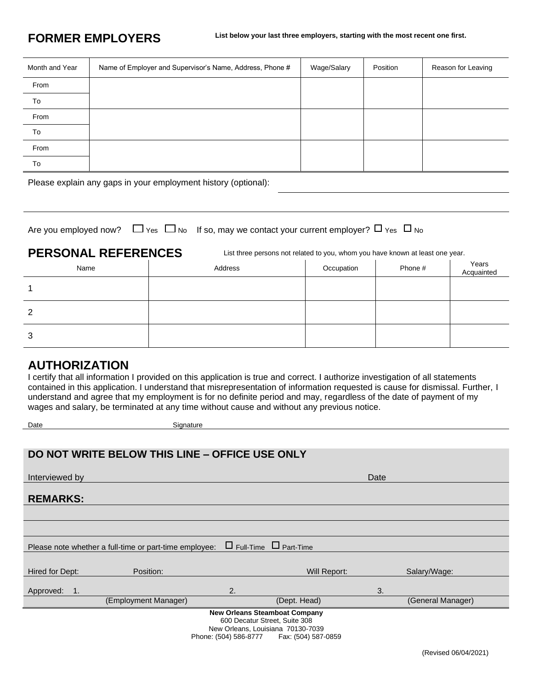| Month and Year | Name of Employer and Supervisor's Name, Address, Phone # | Wage/Salary | Position | Reason for Leaving |
|----------------|----------------------------------------------------------|-------------|----------|--------------------|
| From           |                                                          |             |          |                    |
| To             |                                                          |             |          |                    |
| From           |                                                          |             |          |                    |
| To             |                                                          |             |          |                    |
| From           |                                                          |             |          |                    |
| To             |                                                          |             |          |                    |

Please explain any gaps in your employment history (optional):

|  |  | Are you employed now? $\Box$ Yes $\Box$ No If so, may we contact your current employer? $\Box$ Yes $\Box$ No |
|--|--|--------------------------------------------------------------------------------------------------------------|
|--|--|--------------------------------------------------------------------------------------------------------------|

Date **Signature** Signature

PERSONAL REFERENCES List three persons not related to you, whom you have known at least one year.

| Name | Address | Occupation | Phone # | Years<br>Acquainted |
|------|---------|------------|---------|---------------------|
|      |         |            |         |                     |
| 2    |         |            |         |                     |
| 3    |         |            |         |                     |

### **AUTHORIZATION**

I certify that all information I provided on this application is true and correct. I authorize investigation of all statements contained in this application. I understand that misrepresentation of information requested is cause for dismissal. Further, I understand and agree that my employment is for no definite period and may, regardless of the date of payment of my wages and salary, be terminated at any time without cause and without any previous notice.

|                                                                                   | DO NOT WRITE BELOW THIS LINE - OFFICE USE ONLY         |                                   |      |                   |  |  |
|-----------------------------------------------------------------------------------|--------------------------------------------------------|-----------------------------------|------|-------------------|--|--|
|                                                                                   |                                                        |                                   |      |                   |  |  |
| Interviewed by                                                                    |                                                        |                                   | Date |                   |  |  |
|                                                                                   |                                                        |                                   |      |                   |  |  |
| <b>REMARKS:</b>                                                                   |                                                        |                                   |      |                   |  |  |
|                                                                                   |                                                        |                                   |      |                   |  |  |
|                                                                                   |                                                        |                                   |      |                   |  |  |
|                                                                                   | Please note whether a full-time or part-time employee: | $\Box$ Full-Time $\Box$ Part-Time |      |                   |  |  |
|                                                                                   |                                                        |                                   |      |                   |  |  |
| Hired for Dept:                                                                   | Position:                                              | Will Report:                      |      | Salary/Wage:      |  |  |
|                                                                                   |                                                        |                                   |      |                   |  |  |
| Approved:<br>1.                                                                   |                                                        | 2.                                | 3.   |                   |  |  |
|                                                                                   | (Employment Manager)                                   | (Dept. Head)                      |      | (General Manager) |  |  |
| <b>New Orleans Steamboat Company</b>                                              |                                                        |                                   |      |                   |  |  |
| 600 Decatur Street, Suite 308                                                     |                                                        |                                   |      |                   |  |  |
| New Orleans, Louisiana 70130-7039<br>Phone: (504) 586-8777<br>Fax: (504) 587-0859 |                                                        |                                   |      |                   |  |  |

(Revised 06/04/2021)